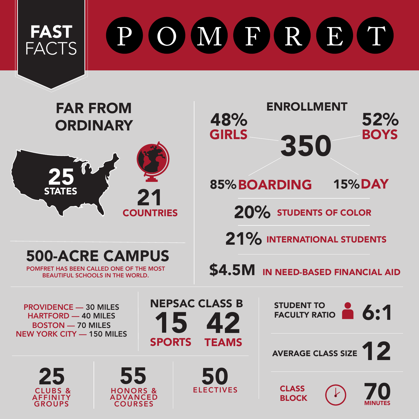# FAST **FACTS**

POMFRE

# FAR FROM **ORDINARY**





**CLASS** 

CLASS <sup>D</sup> MINUTES

MINUTES

## 500-ACRE CAMPUS

POMFRET HAS BEEN CALLED ONE OF THE MOST BEAUTIFUL SCHOOLS IN THE WORLD.

PROVIDENCE — 30 MILES HARTFORD — 40 MILES BOSTON — 70 MILES NEW YORK CITY — 150 MILES

25

CLUBS & AFFINITY GROUPS

50 ELECTIVES

15

SPORTS

55<br>HONORS &

ADVANCED **COURSES**